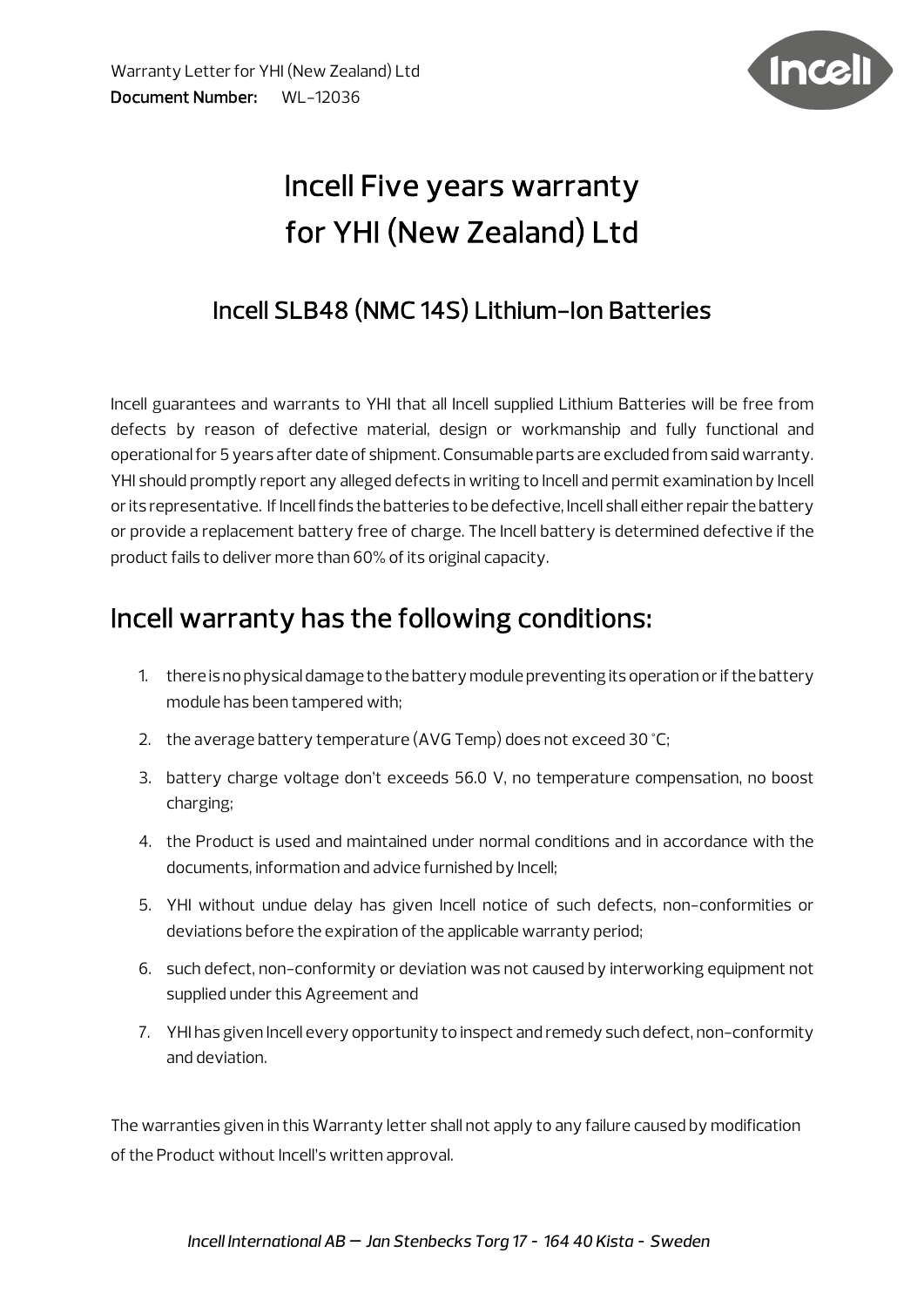

# Incell Five years warranty for YHI (New Zealand) Ltd

### Incell SLB48 (NMC 14S) Lithium-Ion Batteries

Incell guarantees and warrants to YHI that all Incell supplied Lithium Batteries will be free from defects by reason of defective material, design or workmanship and fully functional and operational for 5 years after date of shipment. Consumable parts are excluded from said warranty. YHI should promptly report any alleged defects in writing to Incell and permit examination by Incell or its representative. If Incell finds the batteries to be defective, Incell shall either repair the battery or provide a replacement battery free of charge. The Incell battery is determined defective if the product fails to deliver more than 60% of its original capacity.

### Incell warranty has the following conditions:

- 1. there is no physical damage to the battery module preventing its operation or if the battery module has been tampered with;
- 2. the average battery temperature (AVG Temp) does not exceed 30 °C;
- 3. battery charge voltage don't exceeds 56.0 V, no temperature compensation, no boost charging;
- 4. the Product is used and maintained under normal conditions and in accordance with the documents, information and advice furnished by Incell;
- 5. YHI without undue delay has given Incell notice of such defects, non-conformities or deviations before the expiration of the applicable warranty period;
- 6. such defect, non-conformity or deviation was not caused by interworking equipment not supplied under this Agreement and
- 7. YHI has given Incell every opportunity to inspect and remedy such defect, non-conformity and deviation.

The warranties given in this Warranty letter shall not apply to any failure caused by modification of the Product without Incell's written approval.